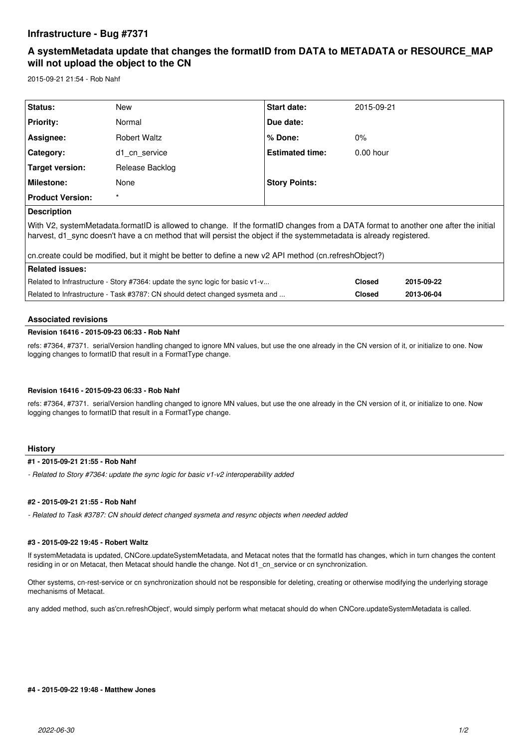## **Infrastructure - Bug #7371**

# **A systemMetadata update that changes the formatID from DATA to METADATA or RESOURCE\_MAP will not upload the object to the CN**

2015-09-21 21:54 - Rob Nahf

| Status:                                                                                                                                                                                                                                                   | <b>New</b>          | Start date:            | 2015-09-21    |            |
|-----------------------------------------------------------------------------------------------------------------------------------------------------------------------------------------------------------------------------------------------------------|---------------------|------------------------|---------------|------------|
| <b>Priority:</b>                                                                                                                                                                                                                                          | Normal              | Due date:              |               |            |
| Assignee:                                                                                                                                                                                                                                                 | <b>Robert Waltz</b> | $%$ Done:              | $0\%$         |            |
| Category:                                                                                                                                                                                                                                                 | d1 cn service       | <b>Estimated time:</b> | $0.00$ hour   |            |
| Target version:                                                                                                                                                                                                                                           | Release Backlog     |                        |               |            |
| <b>Milestone:</b>                                                                                                                                                                                                                                         | None                | <b>Story Points:</b>   |               |            |
| <b>Product Version:</b>                                                                                                                                                                                                                                   | $\star$             |                        |               |            |
| <b>Description</b>                                                                                                                                                                                                                                        |                     |                        |               |            |
| With V2, systemMetadata.formatID is allowed to change. If the formatID changes from a DATA format to another one after the initial<br>harvest, d1 sync doesn't have a cn method that will persist the object if the systemmetadata is already registered. |                     |                        |               |            |
| cn.create could be modified, but it might be better to define a new v2 API method (cn.refreshObject?)                                                                                                                                                     |                     |                        |               |            |
| <b>Related issues:</b>                                                                                                                                                                                                                                    |                     |                        |               |            |
| Related to Infrastructure - Story #7364: update the sync logic for basic v1-v                                                                                                                                                                             |                     |                        | <b>Closed</b> | 2015-09-22 |
| Related to Infrastructure - Task #3787: CN should detect changed sysmeta and                                                                                                                                                                              |                     |                        | <b>Closed</b> | 2013-06-04 |

#### **Associated revisions**

#### **Revision 16416 - 2015-09-23 06:33 - Rob Nahf**

refs: #7364, #7371. serialVersion handling changed to ignore MN values, but use the one already in the CN version of it, or initialize to one. Now logging changes to formatID that result in a FormatType change.

#### **Revision 16416 - 2015-09-23 06:33 - Rob Nahf**

refs: #7364, #7371. serialVersion handling changed to ignore MN values, but use the one already in the CN version of it, or initialize to one. Now logging changes to formatID that result in a FormatType change.

#### **History**

#### **#1 - 2015-09-21 21:55 - Rob Nahf**

*- Related to Story #7364: update the sync logic for basic v1-v2 interoperability added*

#### **#2 - 2015-09-21 21:55 - Rob Nahf**

*- Related to Task #3787: CN should detect changed sysmeta and resync objects when needed added*

### **#3 - 2015-09-22 19:45 - Robert Waltz**

If systemMetadata is updated, CNCore.updateSystemMetadata, and Metacat notes that the formatId has changes, which in turn changes the content residing in or on Metacat, then Metacat should handle the change. Not d1\_cn\_service or cn synchronization.

Other systems, cn-rest-service or cn synchronization should not be responsible for deleting, creating or otherwise modifying the underlying storage mechanisms of Metacat.

any added method, such as'cn.refreshObject', would simply perform what metacat should do when CNCore.updateSystemMetadata is called.